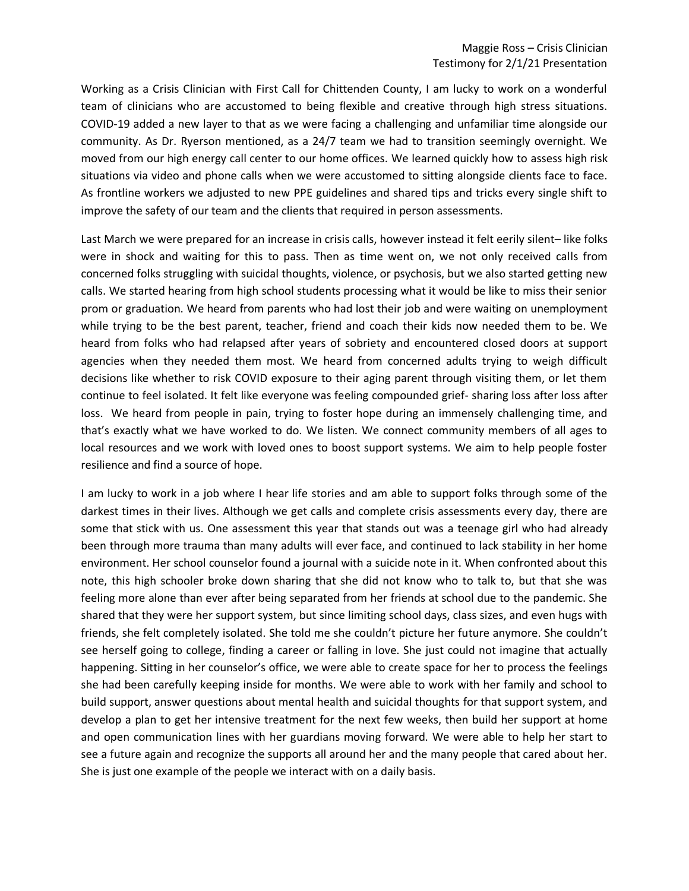Working as a Crisis Clinician with First Call for Chittenden County, I am lucky to work on a wonderful team of clinicians who are accustomed to being flexible and creative through high stress situations. COVID-19 added a new layer to that as we were facing a challenging and unfamiliar time alongside our community. As Dr. Ryerson mentioned, as a 24/7 team we had to transition seemingly overnight. We moved from our high energy call center to our home offices. We learned quickly how to assess high risk situations via video and phone calls when we were accustomed to sitting alongside clients face to face. As frontline workers we adjusted to new PPE guidelines and shared tips and tricks every single shift to improve the safety of our team and the clients that required in person assessments.

Last March we were prepared for an increase in crisis calls, however instead it felt eerily silent– like folks were in shock and waiting for this to pass. Then as time went on, we not only received calls from concerned folks struggling with suicidal thoughts, violence, or psychosis, but we also started getting new calls. We started hearing from high school students processing what it would be like to miss their senior prom or graduation. We heard from parents who had lost their job and were waiting on unemployment while trying to be the best parent, teacher, friend and coach their kids now needed them to be. We heard from folks who had relapsed after years of sobriety and encountered closed doors at support agencies when they needed them most. We heard from concerned adults trying to weigh difficult decisions like whether to risk COVID exposure to their aging parent through visiting them, or let them continue to feel isolated. It felt like everyone was feeling compounded grief- sharing loss after loss after loss. We heard from people in pain, trying to foster hope during an immensely challenging time, and that's exactly what we have worked to do. We listen. We connect community members of all ages to local resources and we work with loved ones to boost support systems. We aim to help people foster resilience and find a source of hope.

I am lucky to work in a job where I hear life stories and am able to support folks through some of the darkest times in their lives. Although we get calls and complete crisis assessments every day, there are some that stick with us. One assessment this year that stands out was a teenage girl who had already been through more trauma than many adults will ever face, and continued to lack stability in her home environment. Her school counselor found a journal with a suicide note in it. When confronted about this note, this high schooler broke down sharing that she did not know who to talk to, but that she was feeling more alone than ever after being separated from her friends at school due to the pandemic. She shared that they were her support system, but since limiting school days, class sizes, and even hugs with friends, she felt completely isolated. She told me she couldn't picture her future anymore. She couldn't see herself going to college, finding a career or falling in love. She just could not imagine that actually happening. Sitting in her counselor's office, we were able to create space for her to process the feelings she had been carefully keeping inside for months. We were able to work with her family and school to build support, answer questions about mental health and suicidal thoughts for that support system, and develop a plan to get her intensive treatment for the next few weeks, then build her support at home and open communication lines with her guardians moving forward. We were able to help her start to see a future again and recognize the supports all around her and the many people that cared about her. She is just one example of the people we interact with on a daily basis.